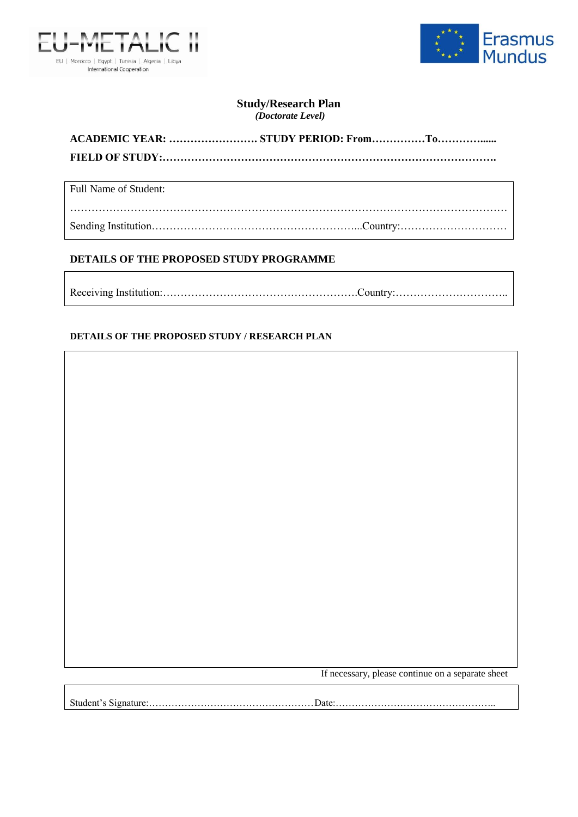



# **Study/Research Plan**

| (Doctorate Level) |  |
|-------------------|--|
|-------------------|--|

Full Name of Student:

…………………………………………………………………………………………………………… Sending Institution…………………………………………………...Country:…………………………

# **DETAILS OF THE PROPOSED STUDY PROGRAMME**

Receiving Institution:……………………………………………….Country:…………………………..

# **DETAILS OF THE PROPOSED STUDY / RESEARCH PLAN**

If necessary, please continue on a separate sheet

Student's Signature:……………………………………………Date:…………………………………………..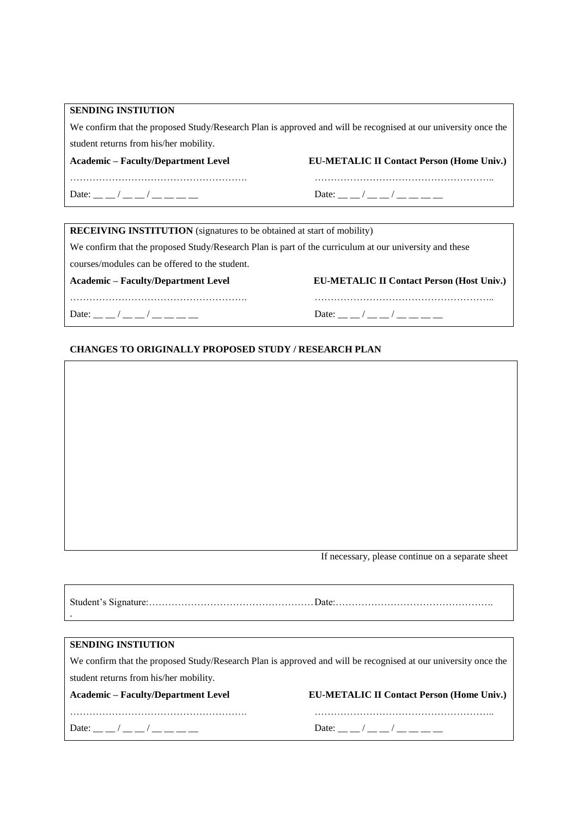| <b>SENDING INSTIUTION</b>                                                                                      |                                                  |  |  |
|----------------------------------------------------------------------------------------------------------------|--------------------------------------------------|--|--|
| We confirm that the proposed Study/Research Plan is approved and will be recognised at our university once the |                                                  |  |  |
| student returns from his/her mobility.                                                                         |                                                  |  |  |
| <b>Academic – Faculty/Department Level</b>                                                                     | <b>EU-METALIC II Contact Person (Home Univ.)</b> |  |  |
|                                                                                                                |                                                  |  |  |
| Date: __ _/ __ _/ __ __ __ __                                                                                  | Date: __ _/ __ _/ __ _ _ _                       |  |  |
|                                                                                                                |                                                  |  |  |
| <b>RECEIVING INSTITUTION</b> (signatures to be obtained at start of mobility)                                  |                                                  |  |  |
| We confirm that the proposed Study/Research Plan is part of the curriculum at our university and these         |                                                  |  |  |

courses/modules can be offered to the student.

………………………………………………. ………………………………………………..

Date: \_\_ \_ / \_\_ \_ / \_\_ \_\_ \_ \_ \_ \_ Date: \_\_ \_ / \_\_ \_\_ / \_\_ \_\_ \_ \_

**Academic – Faculty/Department Level EU-METALIC II Contact Person (Host Univ.)**

### **CHANGES TO ORIGINALLY PROPOSED STUDY / RESEARCH PLAN**

If necessary, please continue on a separate sheet

Student's Signature:……………………………………………Date:…………………………………………. .

## **SENDING INSTIUTION**

We confirm that the proposed Study/Research Plan is approved and will be recognised at our university once the student returns from his/her mobility.

………………………………………………. ………………………………………………..

**Academic – Faculty/Department Level EU-METALIC II Contact Person (Home Univ.)**

Date: \_\_ \_ / \_\_ \_ / \_\_ \_\_ \_ \_ \_\_ Date: \_ \_ / \_\_ \_ / \_\_ \_\_ \_ \_